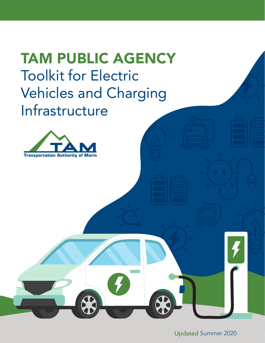# TAM PUBLIC AGENCY Toolkit for Electric Vehicles and Charging Infrastructure



Updated Summer 2020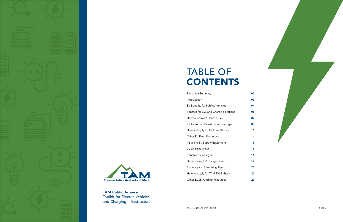TAM.ca.gov/AgencyToolkit Page 01

# TABLE OF CONTENTS

Executive Summary

Introduction EV Benefits for Public Agencies Rebates for EVs and Charging Stations How to Convert Fleet to EVs EV Incentives Based on Vehicle Type How to Apply for EV Fleet Rebate Other EV Fleet Resources Installing EV Supply Equipment EV Charger Types Rebates for Chargers Determining EV Charger Needs Planning and Permitting Tips How to Apply for TAM EVSE Grant Other EVSE Funding Resources







TAM Public Agency Toolkit for Electric Vehicles and Charging Infrastructure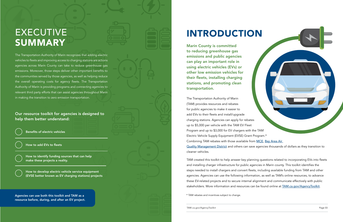The Transportation Authority of Marin recognizes that adding electric vehicles to fleets and improving access to charging stations are actions agencies across Marin County can take to reduce greenhouse gas emissions. Moreover, those steps deliver other important benefits to the communities served by those agencies, as well as helping reduce the overall operating costs for agency fleets. The Transportation Authority of Marin is providing programs and connecting agencies to relevant third party efforts that can assist agencies throughout Marin in making the transition to zero emission transportation.

# EXECUTIVE **SUMMARY**

TAM created this toolkit to help answer key planning questions related to incorporating EVs into fleets and installing charger infrastructure for public agencies in Marin county. This toolkit identifies the steps needed to install chargers and convert fleets, including available funding from TAM and other agencies. Agencies can use the following information, as well as TAM's online resources, to advance these EV-related projects and to secure internal alignment and communicate effectively with public stakeholders. More information and resources can be found online at **[TAM.ca.gov/AgencyToolkit](http://TAM.ca.gov/AgencyToolkit)**.

Our resource toolkit for agencies is designed to help them better understand:

The Transportation Authority of Marin (TAM) provides resources and rebates for public agencies to make it easier to add EVs to their fleets and install/upgrade charging stations. Agencies can apply for rebates up to \$5,000 per vehicle with the TAM EV Fleet Program and up to \$3,000 for EV chargers with the TAM Electric Vehicle Supply Equipment (EVSE) Grant Program.\* Combining TAM rebates with those available from [MCE](https://www.mcecleanenergy.org/ev-drivers/#EVrebate), Bay Area Air [Quality Management District](https://www.baaqmd.gov/funding-and-incentives/residents/clean-cars-for-all/resources/other-clean-car-grants-and-rebates) and others can save agencies thousands of dollars as they transition to cleaner vehicles.

# INTRODUCTION

Marin County is committed to reducing greenhouse gas emissions and public agencies can play an important role in using electric vehicles (EVs) or other low emission vehicles for their fleets, installing charging stations, and promoting clean transportation.

Agencies can use both this toolkit and TAM as a resource before, during, and after an EV project.

Benefits of electric vehicles

How to add EVs to fleets

How to develop electric vehicle service equipment (EVSE better known as EV charging stations) projects

How to identify funding sources that can help make these projects a reality.

\* TAM rebates and incentives subject to change.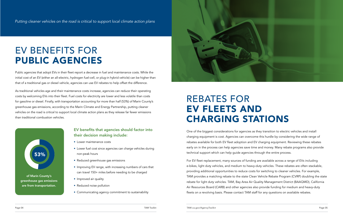Page 04 TAM Toolkit TAM.ca.gov/AgencyToolkit Page 05

Public agencies that adopt EVs in their fleet report a decrease in fuel and maintenance costs. While the initial cost of an EV (either an all-electric, hydrogen fuel-cell, or plug-in hybrid vehicle) can be higher than that of a traditional gas or diesel vehicle, agencies can use EV rebates to help offset the difference.

As traditional vehicles age and their maintenance costs increase, agencies can reduce their operating costs by welcoming EVs into their fleet. Fuel costs for electricity are lower and less volatile than costs for gasoline or diesel. Finally, with transportation accounting for more than half (53%) of Marin County's greenhouse gas emissions, according to the Marin Climate and Energy Partnership, putting cleaner vehicles on the road is critical to support local climate action plans as they release far fewer emissions than traditional combustion vehicles.

> One of the biggest considerations for agencies as they transition to electric vehicles and install charging equipment is cost. Agencies can overcome this hurdle by considering the wide range of rebates available for both EV fleet adoption and EV charging equipment. Reviewing these rebates early on in the process can help agencies save time and money. Many rebate programs also provide technical support which can help guide agencies through the entire process.

For EV fleet replacement, many sources of funding are available across a range of EVs including e-bikes, light duty vehicles, and medium to heavy-duty vehicles. These rebates are often stackable, providing additional opportunities to reduce costs for switching to cleaner vehicles. For example, TAM provides a matching rebate to the state Clean Vehicle Rebate Program (CVRP) doubling the state rebate for light duty vehicles. TAM, Bay Area Air Quality Management District (BAAQMD), California Air Resources Board (CARB) and other agencies also provide funding for medium and heavy-duty fleets on a revolving basis. Please contact TAM staff for any questions on available rebates.

# EV BENEFITS FOR PUBLIC AGENCIES

## EV benefits that agencies should factor into their decision making include:

- Lower maintenance costs
- Lower fuel cost since agencies can charge vehicles during non-peak hours
- Reduced greenhouse gas emissions
- Improving EV range, with increasing numbers of cars that can travel 150+ miles before needing to be charged
- Improved air quality
- Reduced noise pollution
- Communicating agency commitment to sustainability



# REBATES FOR EV FLEETS AND CHARGING STATIONS

of Marin County's greenhouse gas emissions are from transportation.



*Putting cleaner vehicles on the road is critical to support local climate action plans*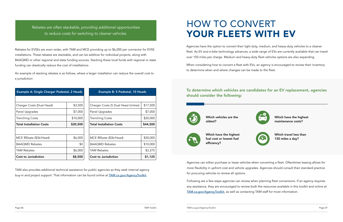Page 06 TAM Toolkit TAM.ca.gov/AgencyToolkit Page 07

Example B: 5 Pedestal, 10 Heads Charger Costs (5 Dual Head Unities) \$17,500 Panel Upgrades 1997,000 Trenching Costs 1999 | \$20,000 Total Installation Costs | \$44,500 MCE REbate (\$3k/Head) | \$30,000 BAAQMD Rebates 19,000 TAM Rebates 1997 1998 Cost to Jurisdiction 1 \$1,125



| Example A: Single Charger Pedestal, 2 Heads |          |
|---------------------------------------------|----------|
|                                             |          |
| Charger Costs (Dual Head)                   | \$3,500  |
| Panel Upgrades                              | \$7,000  |
| Trenching Costs                             | \$10,000 |
| <b>Total Installation Costs</b>             | \$20,500 |
|                                             |          |
| MCE REbate (\$3k/Head)                      | \$6,000  |
| <b>BAAOMD Rebates</b>                       | \$0      |
| <b>TAM Rebates</b>                          | \$6,000  |
| <b>Cost to Jurisdiction</b><br>\$8,500      |          |

TAM also provides additional technical assistance for public agencies as they seek internal agency buy-in and project support. That information can be found online at **[TAM.ca.gov/AgencyToolkit](http://TAM.ca.gov/AgencyToolkit).** 

# HOW TO CONVERT YOUR FLEETS WITH EV

Rebates for EVSEs are even wider, with TAM and MCE providing up to \$6,000 per connector for EVSE installations. These rebates are stackable, and can be additive for individual projects, along with BAAQMD or other regional and state funding sources. Stacking these local funds with regional or state funding can drastically reduce the cost of installations

An example of stacking rebates is as follows, where a larger installation can reduce the overall cost to a jurisdiction:

Agencies have the option to convert their light duty, medium, and heavy-duty vehicles to a cleaner fleet. As EV and e-bike technology advances, a wide range of EVs are currently available that can travel over 150 miles per charge. Medium and heavy-duty fleet vehicles options are also expanding.

When considering how to convert a fleet with EVs, an agency is encouraged to review their inventory to determine when and where changes can be made to the fleet.

Agencies can either purchase or lease vehicles when converting a fleet. Oftentimes leasing allows for more flexibility in upfront cost and vehicle upgrades. Agencies should consult their standard practice for procuring vehicles to review all options.

Following are a few steps agencies can review when planning fleet conversions. If an agency requires any assistance, they are encouraged to review both the resources available in this toolkit and online at [TAM.ca.gov/AgencyToolkit](http://TAM.ca.gov/AgencyToolkit), as well as contacting TAM staff for more information.

## To determine which vehicles are candidates for an EV replacement, agencies should consider the following:



Which vehicles are the oldest?



Which have the highest fuel cost or lowest fuel efficiency?

Which have the highest maintenance costs?



Which travel less than 150 miles a day?

*Rebates are often stackable, providing additional opportunities to reduce costs for switching to cleaner vehicles.*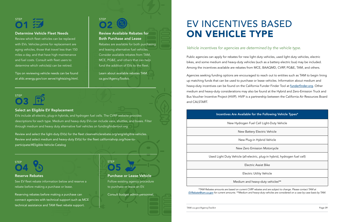Page 08 TAM Toolkit TAM.ca.gov/AgencyToolkit Page 09

Public agencies can apply for rebates for new light duty vehicles, used light duty vehicles, electric bikes, and some medium and heavy-duty vehicles (such as a battery electric bus) may be included. Among the incentives available are rebates from MCE, BAAQMD, CVRP, PG&E, TAM, and others.

Agencies seeking funding options are encouraged to reach out to entities such as TAM to begin lining up matching funds that can be used to purchase or lease vehicles. Information about medium and heavy-duty incentives can be found on the California Funder Finder Tool at [funderfinder.org](http://funderfinder.org). Other medium and heavy-duty considerations may also be found at the Hybrid and Zero-Emission Truck and Bus Voucher Incentive Project (HVIP). HVIP is a partnership between the California Air Resources Board and CALSTART.

### Determine Vehicle Fleet Needs

# EV INCENTIVES BASED ON VEHICLE TYPE

Review which fleet vehicles can be replaced with EVs. Vehicles prime for replacement are aging vehicles, those that travel less than 150 miles a day, and that have high maintenance and fuel costs. Consult with fleet users to determine which vehicle(s) can be retired.

Tips on reviewing vehicle needs can be found at [afdc.energy.gov/con serve/rightsizing.html.](https://afdc.energy.gov/con serve/rightsizing.html)

## **STEP** O2

**STEP** O4

# **STEP** O3

### Review Available Rebates for Both Purchase and Lease

Rebates are available for both purchasing and leasing alternative fuel vehicles. Consider available rebates from TAM, MCE, PG&E, and others that can help fund the addition of EVs to the fleet.

Learn about available rebates [TAM.](http://TAM.ca.gov/AgencyToolkit) [ca.gov/AgencyToolkit.](http://TAM.ca.gov/AgencyToolkit)

### Select an Eligible EV Replacement

EVs include all-electric, plug-in hybrids, and hydrogen fuel cells. The CVRP website provides descriptions for each type. Medium and heavy duty EVs can include vans, shuttles, and buses. Filter through medium and heavy duty alternative fuel vehicles on fundingfindertool.org

Review and select the light-duty EV(s) for the fleet [cleanvehiclerebate.org/eng/eligible-vehicles.](https://cleanvehiclerebate.org/eng/eligible-vehicles) Review and select medium and heavy-duty EV(s) for the fleet [californiahvip.org/how-to](http://californiahvip.org/how-to-participate/#Eligible-Vehicle-Catalog)[participate/#Eligible-Vehicle-Catalog](http://californiahvip.org/how-to-participate/#Eligible-Vehicle-Catalog)

### Reserve Rebates

See EV fleet rebate information below and reserve a rebate before making a purchase or lease.

Reserving rebates before making a purchase can connect agencies with technical support such as MCE technical assistance and TAM fleet rebate support.

Purchase or Lease Vehicle Follow existing agency procedure to purchase or lease an EV.

Consult budget admin personnel.

STEP O5

# STEP O1

### Incentives Are Available for the Following Vehicle Types\*

New Hydrogen Fuel Cell Light-Duty Vehicle

New Battery Electric Vehicle

New Plug-in Hybrid Vehicle

New Zero Emission Motorcycle

Used Light Duty Vehicle (all-electric, plug-in hybrid, hydrogen fuel cell)

Electric Assist Bike

Electric Utility Vehicle

Medium and heavy-duty vehicles\*\*

*\*TAM Rebates amounts are based on current CVRP rebates and are subject to change. Please contact TAM at [EVRebate@tam.ca.gov](http://EVRebate@tam.ca.gov) for current amounts. \*\*Medium and heavy-duty vehicles are considered on a case by case basis by TAM.*

## *Vehicle incentives for agencies are determined by the vehicle type.*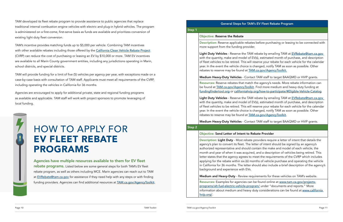### GEV Fleet Rebate Program

before purchasing or leasing to be connected with

rebate by emailing TAM at EVRebate@tam.ca.gov  $V(s)$ , estimated month of purchase, and description eserve your rebate for each vehicle for the calendar hanged, notify TAM as soon as possible. Other **rebates to respect** the incident at the found at TAC.

t TAM staff to target BAAQMD or HVIP grants.

the agency's needs. More rebate information can Find more medium and heavy duty funding at org/how-to-participate/#Eligible-Vehicle-Catalog.

rebate by emailing TAM at EVRebate@tam.ca.gov V(s), estimated month of purchase, and description eserve your rebate for each vehicle for the calendar hanged, notify TAM as soon as possible. Other <u>I.ca.gov/AgencyToolkit</u>.

t TAM staff to target BAAQMD or HVIP grants.

### Bete Provider

providers require a letter of intent that details the tter of intent should be signed by an agency's authorized representative integretative integretative and the make and model of each vehicle, the model of the , and a description of vehicles being retired. This let the requirements of the CVRP which includes nths of vehicle purchase and operating the vehicle iould also include a brief description of the agency's

iirements for these vehicles on TAM's website.

TAM developed its fleet rebate program to provide assistance to public agencies that replace traditional internal combustion engine vehicles with electric and plug-in hybrid vehicles. The program is administered on a first-come, first-serve basis as funds are available and prioritizes conversion of existing light duty fleet conversion.

TAM's incentive provides matching funds up to \$5,000 per vehicle. Combining TAM incentives with other available rebates including those offered by the [California Clean Vehicle Rebate Project](https://cleanvehiclerebate.org/eng) (CVRP) can reduce the cost of purchasing or leasing an EV by \$10,000 or more. TAM EV incentives are available to all Marin County government entities, including any jurisdictions operating in Marin, school districts, and special districts.

> Agencies have multiple resources available to them for EV fleet rebate programs. Listed below are some general steps for both TAM's EV fleet rebate program, as well as others including MCE. Marin agencies can reach out to TAM at [EVRebate@tam.ca.gov](http://EVRebate@tam.ca.gov) for assistance if they need help with any steps or with finding funding providers. Agencies can find additional resources at **[TAM.ca.gov/AgencyToolkit](http://TAM.ca.gov/AgencyToolkit).**

TAM will provide funding for a limit of five (5) vehicles per agency per year, with exceptions made on a case-by-case basis with consultation of TAM staff. Applicants must meet all requirements of the CVRP, including operating the vehicles in California for 36 months.

Agencies are encouraged to apply for additional private, state and regional funding programs as available and applicable. TAM staff will work with project sponsors to promote leveraging of local funding.



agencies can be found online at [www.tam.ca.gov/projects](https://www.tam.ca.gov/projects-programs/alt-fuel-electric-vehicle-program/)[programs/alt-fuel-electric-vehicle-program/](https://www.tam.ca.gov/projects-programs/alt-fuel-electric-vehicle-program/) under "documents and reports." More information about medium and heavy duty considerations can be found at www.california [hvip.org/](http://www.california hvip.org/).

|        | <b>General Steps for TAM's</b>                                                                                                                                                                                                                                                                                                                               |
|--------|--------------------------------------------------------------------------------------------------------------------------------------------------------------------------------------------------------------------------------------------------------------------------------------------------------------------------------------------------------------|
| Step 1 |                                                                                                                                                                                                                                                                                                                                                              |
|        | <b>Objective: Reserve the Rebate</b>                                                                                                                                                                                                                                                                                                                         |
|        | <b>Description:</b> Reserve applicable rebates<br>more support from the funding provider.                                                                                                                                                                                                                                                                    |
|        | Light Duty Vehicles - Reserve the TAM r<br>with the quantity, make and model of EV<br>of fleet vehicles to be retired. This will re<br>year. In the event the vehicle choice is ch<br>rebates to reserve may be found at <b>TAM</b>                                                                                                                          |
|        | Medium Heavy-Duty Vehicles - Contact                                                                                                                                                                                                                                                                                                                         |
|        | Resources: Reserve rebates that match t<br>be found at <b>TAM.ca.gov/AgencyToolkit</b> .<br>fundingfindertool.org or californiahvip.c                                                                                                                                                                                                                        |
|        | Light Duty Vehicles - Reserve the TAM r<br>with the quantity, make and model of EV<br>of fleet vehicles to be retired. This will re<br>year. In the event the vehicle choice is ch<br>rebates to reserve may be found at <b>TAM</b>                                                                                                                          |
|        | Medium Heavy-Duty Vehicles - Contact                                                                                                                                                                                                                                                                                                                         |
| Step 2 |                                                                                                                                                                                                                                                                                                                                                              |
|        | Objective: Send Letter of Intent to Rel                                                                                                                                                                                                                                                                                                                      |
|        | Description: Light Duty - Most rebate p<br>agency's plan to convert its fleet. The let<br>authorized representative and should co<br>month and year of when it was acquired,<br>letter states that the agency agrees to m<br>applying for the rebate within six (6) mor<br>in California for 36 months. The letter sh<br>background and experience with EVs. |
|        | Medium and Heavy-Duty - Review requ                                                                                                                                                                                                                                                                                                                          |
|        | <b>Resources:</b> Examples for agencies can b                                                                                                                                                                                                                                                                                                                |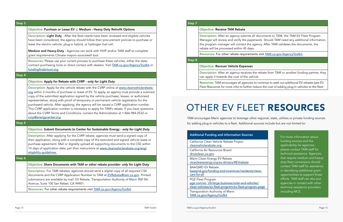Step 3

Objective: Purchase or Lease EV | Medium - Heavy Duty Retrofit Options

Description: Light Duty - After the fleet needs have been reviewed and eligible vehicles have been considered, the agency should follow their procurement policies to purchase or

Resources: For other rebate requirements visit [TAM.ca.gov/AgencyToolkit](http://TAM.ca.gov/AgencyToolkit).

lease the electric vehicle, plug-in hybrid, or hydrogen fuel cell.

Step 4

| Medium and Heavy-Duty - Agencies can work with HVIP and/or TAM staff to complete<br>grant requirements Climate mayors sourcewell tool.                                                                                                                                                                                                                                                                                                                                                                                                                                                                                                                                                   |
|------------------------------------------------------------------------------------------------------------------------------------------------------------------------------------------------------------------------------------------------------------------------------------------------------------------------------------------------------------------------------------------------------------------------------------------------------------------------------------------------------------------------------------------------------------------------------------------------------------------------------------------------------------------------------------------|
| Resources: Please use your current process to purchase these vehicles, either the state<br>contract purchasing tools or direct contact with dealers. Visit TAM.ca.gov/AgencyToolkit or<br>fundingfindertool.org.                                                                                                                                                                                                                                                                                                                                                                                                                                                                         |
|                                                                                                                                                                                                                                                                                                                                                                                                                                                                                                                                                                                                                                                                                          |
| Objective: Apply for Rebate with CVRP - only for Light Duty                                                                                                                                                                                                                                                                                                                                                                                                                                                                                                                                                                                                                              |
| Description: Apply for the vehicle rebate with the CVRP online at www.cleanvehiclerebate.<br>org within 3 months of purchase or lease of EV. To apply, an agency must provide a scanned<br>copy of the submitted application signed by the vehicle purchaser, lessee, or authorized<br>representative, along with proof of temporary or permanent vehicle registration for the<br>purchased vehicle. After applying, the agency will be issued a CVRP application number.<br>This CVRP application number is necessary to apply for TAM's rebate. If you have questions<br>about the CVRP Terms and Conditions, contact the Administrator at 1-866-984-2532 or<br>cvrp@energycenter.org. |
|                                                                                                                                                                                                                                                                                                                                                                                                                                                                                                                                                                                                                                                                                          |
| Objective: Submit Documents to Center for Sustainable Energy - only for Light Duty                                                                                                                                                                                                                                                                                                                                                                                                                                                                                                                                                                                                       |
| Description: After applying for the CVRP rebate, agencies must send a signed copy of<br>their application, along with a complete copy of the executed and signed vehicle lease or<br>purchase agreement. Mail or digitally upload all supporting documents to the CSE within<br>14 days of application date, per their instructions at www.cleanvehiclerebate.org/eng/<br>eligibility-guidelines.                                                                                                                                                                                                                                                                                        |
|                                                                                                                                                                                                                                                                                                                                                                                                                                                                                                                                                                                                                                                                                          |
| Objective: Share Documents with TAM or other rebate provider- only for Light Duty                                                                                                                                                                                                                                                                                                                                                                                                                                                                                                                                                                                                        |
| Description: For TAM rebates, agencies should send a digital copy of all required CSE<br>documents and the CVRP Application Number to TAM at EVRebate@tam.ca.gov. Printed<br>submissions are available by mail: EV Rebate, Transportation Authority of Marin 900 5th<br>Avenue, Suite 100 San Rafael, CA 94901.                                                                                                                                                                                                                                                                                                                                                                          |

Step 5

es to continue to seek out additional EV rebates (see EV Fleet Resources for more info) to further reduce the cost of adding plug-in vehicles to the fleet.

| 5                         |  |
|---------------------------|--|
|                           |  |
|                           |  |
|                           |  |
| s/clean-                  |  |
| icles/<br><u>ram.page</u> |  |
|                           |  |

Step 6

all documents to TAM, the TAM EV Fleet Program perwork. Should TAM need any additional information, agency. After TAM validates the documents, the

Rents visit [TAM.ca.gov/AgencyToolkit](http://TAM.ca.gov/AgencyToolkit).

the rebate from TAM or another funding partner, they ehicle.

| Step <sub>7</sub> |                                                                                                                                                                          |
|-------------------|--------------------------------------------------------------------------------------------------------------------------------------------------------------------------|
|                   | <b>Objective: Receive TAM Rebate</b>                                                                                                                                     |
|                   | Description: After an agency submits al<br>Manager will review and verify the pape<br>the program manager will contact the a<br>rebate will be processed within 45 days. |
|                   | Resources: For other rebate requiremer                                                                                                                                   |
| Step 8            |                                                                                                                                                                          |
|                   | <b>Objective: Recover Vehicle Expenses</b>                                                                                                                               |
|                   | Description: After an agency receives th<br>can apply it towards the cost of the vehi                                                                                    |
|                   | Resources: TAM encourages all agencies t                                                                                                                                 |

# OTHER EV FLEET RESOURCES

TAM encourages Marin agencies to leverage other regional, state, utilities or private funding sources for adding plug-in vehicles to a fleet. Additional sources include but are not limited to:

| <b>Additonal Funding and Information Sources</b>                                                                                      |
|---------------------------------------------------------------------------------------------------------------------------------------|
| California Clean Vehicle Rebate Project<br>cleanvehiclerebate.org                                                                     |
| California Air Resources Board<br>driveclean.ca.gov                                                                                   |
| Marin Clean Energy EV Rebate<br>mcecleanenergy.org/ev-drivers/#EVrebate                                                               |
| BAAOMD FV Rebate<br>baagmd.gov/funding-and-incentives/residents/clean-<br>cars-for-all                                                |
| <b>PGE Fleet Program</b><br>pge.com/en_US/large-business/solar-and-vehicles/<br>clean-vehicles/ev-fleet-program/ev-fleet-program.page |
| Transporation Authority of Marin<br>TAM.ca.gov/AgencyToolkit                                                                          |

For more information about funding sources and the applicability for agencies, please contact TAM staff for technical assistance. Agencies that require medium and heavyduty fleet conversions should contact TAM staff for assistance in identifying additional grant opportunities to support those efforts. TAM staff can also put agencies in contact with other technical assistance providers including MCE.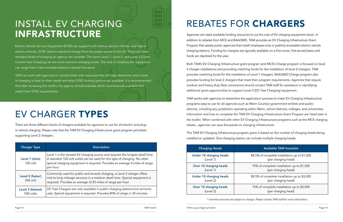Electric Vehicle Service Equipment (EVSE) can support both battery-electric vehicles and hybridelectric vehicles. EVSE delivers electrical energy from the power source to the EV. There are three standard levels of charging an agency can consider. The terms Level 1, Level 2, and Level 3 (Direct Current Fast Charging) are the most common charging levels. The cost of installing this equipment can range from a few hundred dollars to several thousand.

TAM can work with agencies to connect them with resources that will help determine which level of charging is best for their needs and what EVSE funding options are available. It is recommended that after reviewing this toolkit, the agency should evaluate which incentives are available that match their EVSE requirements.

# INSTALL EV CHARGING INFRASTRUCTURE

# EV CHARGER TYPES

There are three different levels of chargers available for agencies to use for all-electric and plugin vehicle charging. Please note that the TAM EV Charging Infrastructure grant program prioritizes supporting Level 2 chargers.

| <b>Charger Type</b>            | <b>Description</b>                                                                                                                                                                                                                                        |
|--------------------------------|-----------------------------------------------------------------------------------------------------------------------------------------------------------------------------------------------------------------------------------------------------------|
| Level 1 (slow)<br>120 volt     | Level 1 is the slowest EV charging source and requires the longest dwell time.<br>A standard 120-volt outlet can be used for this type of charging. No other<br>special charging equipment is required. Provides an average 4 miles of range<br>per hour. |
| Level 2 (faster)<br>240 volt   | Commonly used for public and at-work charging, a Level 2 charger offers<br>mid to long mileage recovery in a medium dwell time. Special equipment is<br>required. Provides an average of 25 miles of range per hour.                                      |
| Level 3 (fastest)<br>500 volts | DC Fast Chargers are only available in public charging stations (not at-home<br>use). Special equipment is required. Provides 80% of range in 30 minutes.                                                                                                 |

# REBATES FOR CHARGERS

Agencies can stack available funding resources to cut the cost of EV charging equipment down. In addition to rebates from MCE and BAAQMD, TAM provides an EV Charging Infrastructure Grant Program that assists public agencies that install employee-only or publicly accessible electric vehicle charging stations. Funding for chargers are typically available on a first-come, first-served basis until funds are depleted for the year.

Both TAM's EV Charging Infrastructure grant program and MCE's Charge program is focused on level 2 charger installations and providing matching funds for the installation of level 2 chargers. TAM provides matching funds for the installation of Level 1 chargers. BAAQMD Charge program also provides funding for level 2 chargers that meet their program requirements. Agencies that require medium and heavy-duty fleet conversions should contact TAM staff for assistance in identifying additional grant opportunities to support Level 3 (DC Fast Charging) equipment.

TAM works with agencies to streamline the application process to make EV Charging Infrastructure programs easy to use for all agencies such as Marin County's government entities and public districts, including any jurisdiction operating within Marin, school districts, colleges, and universities. Information and how to complete the TAM EV Charging Infrastructure Grant Program are listed later in the toolkit. When combined with other EV Charging Infrastructure programs such as the MCE charging rebate , agencies can save thousands on charging infrastructure.

The TAM EV Charging Infrastructure program grant is based on the number of charging heads being installed or updated. One charging station can include multiple charging heads.

| <b>Available TAM Incentive</b>                                      |
|---------------------------------------------------------------------|
| 88.5% of complete installation up to \$1,500<br>(per charging head) |
| 75% of complete installation up to \$1,500<br>(per charging head)   |
| 88.5% of complete installation up to \$3,000<br>(per charging head) |
| 75% of complete installation up to \$3,000<br>(per charging head)   |
|                                                                     |

*\* Incentive amounts are subject to change. Please contact TAM staff for more information.*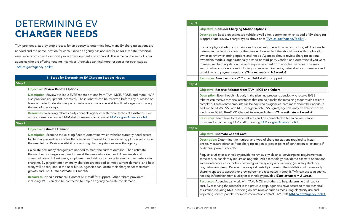### n Options

cle dwell time, determine which speed of EV charging is appropriate or at [TAM.ca.gov/AgencyToolkit](http://TAM.ca.gov/AgencyToolkit) ).

# DETERMINING EV CHARGER NEEDS

TAM provides a step-by-step process for an agency to determine how many EV charging stations are needed and the prime location for each. Once an agency has applied for an MCE rebate, technical assistance is provided to support project development and approval. The same can be said of other agencies who are offering funding incentives. Agencies can find more resources for each step at [TAM.ca.gov/AgencyToolkit](http://TAM.ca.gov/AgencyToolkit).

|        | 11 Steps for Determining EV Charging Stations Needs                                                                                                                                                                                                                                                                                                                                                                                                                                                                                                                                                                                                                                                                                                                                    |
|--------|----------------------------------------------------------------------------------------------------------------------------------------------------------------------------------------------------------------------------------------------------------------------------------------------------------------------------------------------------------------------------------------------------------------------------------------------------------------------------------------------------------------------------------------------------------------------------------------------------------------------------------------------------------------------------------------------------------------------------------------------------------------------------------------|
| Step 1 |                                                                                                                                                                                                                                                                                                                                                                                                                                                                                                                                                                                                                                                                                                                                                                                        |
|        | <b>Objective: Review Rebate Options</b>                                                                                                                                                                                                                                                                                                                                                                                                                                                                                                                                                                                                                                                                                                                                                |
|        | Description: Review available EVSE rebate options from TAM, MCE, PG&E, and more. HVIP<br>also provides equipment incentives. These rebates can be reserved before any purchase or<br>lease is made. Understanding which rebate options are available will help agencies through<br>the rest of these steps.                                                                                                                                                                                                                                                                                                                                                                                                                                                                            |
|        | Resources: Reserving rebates early connects agencies with more technical assistance. For<br>more information contact TAM staff or review info online at TAM.ca.gov/AgencyToolkit                                                                                                                                                                                                                                                                                                                                                                                                                                                                                                                                                                                                       |
| Step 2 |                                                                                                                                                                                                                                                                                                                                                                                                                                                                                                                                                                                                                                                                                                                                                                                        |
|        | <b>Objective: Estimate Demand</b>                                                                                                                                                                                                                                                                                                                                                                                                                                                                                                                                                                                                                                                                                                                                                      |
|        | Description: Examine the existing fleet to determine which vehicles currently need access<br>to charging, as well as vehicles that can be earmarked to be replaced by plug-in vehicles in<br>the near future. Review availability of existing charging stations near the agency.<br>Calculate how many chargers are needed to meet the current demand. Then estimate<br>the number of chargers required to meet the near-future demand. Agencies should<br>communicate with fleet users, employees, and visitors to gauge interest and experience in<br>charging. By pinpointing how many chargers are needed to meet current demand, and how<br>many will be required in the near future, agencies can locate their chargers for maximum<br>growth and use. (Time estimate = 1 month) |
|        | Resources: Need assistance? Contact TAM staff for support. Other rebate providers<br>including MCE can also be contacted to help an agency calculate the demand.                                                                                                                                                                                                                                                                                                                                                                                                                                                                                                                                                                                                                       |

h as access to electrical infrastructure, ADA access to arger. Leased facilities should work with the building needs. Agencies should review charging stations med or third-party vendor) and determine if you want equire payment from non-fleet vehicles. This may software requirements, networked vs non-networked capability, and payment options. *(Time estimate = 1-2 weeks)*

TAM staff for support.

### M, MCE and Others

ne planning process, agencies who reserve EVSE that can help make the remaining steps much easier to adjusted as agencies learn more about their needs. In er rebate EVSE grant, agencies may be able to receive fullet from almostophers. *(Time estimate = 2 weeks)* 

tes and be connected to technical assistance isiting [TAM.ca.gov/AgencyToolkit](http://TAM.ca.gov/AgencyToolkit).

nd type of charging stations required to install ong station to power point of connection to estimate if

to review any electrical service/panel requirements as rade. Ask a technology provider to estimate operations ypes the agency is considering (including electricity bital costs by increasing the installation of make-ready demand (estimated in step 1). TAM can assist an agency hnology provider. **(Time estimate = 2 weeks)** 

M, MCE and others to help determine their capital revious step, agencies have access to more technical site reviews such as measuring electricity use and ormation contact TAM staff [TAM.ca.gov/AgencyToolkit](http://TAM.ca.gov/AgencyToolkit).

| Step 3 |                                                                                                                                                                                                                                                                                                   |
|--------|---------------------------------------------------------------------------------------------------------------------------------------------------------------------------------------------------------------------------------------------------------------------------------------------------|
|        | <b>Objective: Consider Charging Statior</b>                                                                                                                                                                                                                                                       |
|        | <b>Description:</b> Based on estimated vehic<br>is appropriate (review charger types ab                                                                                                                                                                                                           |
|        | Examine physical siting constraints suc<br>determine the best location for the cha<br>owner to review charging options and<br>ownership models (organizationally ow<br>to measure charging station use and re<br>lead to other considerations including<br>capability, and payment options. (Time |
|        | Resources: Need assistance? Contact                                                                                                                                                                                                                                                               |
| Step 4 |                                                                                                                                                                                                                                                                                                   |
|        | <b>Objective: Reserve Rebates from TAM</b>                                                                                                                                                                                                                                                        |
|        | Description: Even though it is early in th<br>rebates can receive technical assistance t<br>complete. These rebate amounts can be<br>addition to TAM's EVSE and MCE charge<br>funds from PG&E, BAAQMD Charge! Re                                                                                  |
|        | Resources: Learn how to reserve rebat<br>providers by contacting TAM staff or vi                                                                                                                                                                                                                  |
| Step 5 |                                                                                                                                                                                                                                                                                                   |
|        | <b>Objective: Estimate Capital Cost</b>                                                                                                                                                                                                                                                           |
|        | Description: Determine the number ar<br>onsite. Measure distance from charging<br>additional power is needed.                                                                                                                                                                                     |
|        | Request a utility or technology provider t<br>some service panels may require an upg<br>and maintenance costs for the charger ty<br>use, networking fees). Reduce future cap                                                                                                                      |
|        | charging spaces to account for growing<br>needing information from a utility or tech                                                                                                                                                                                                              |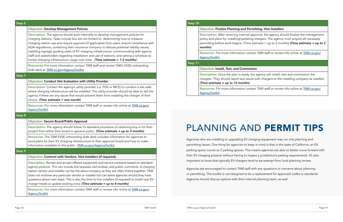### mitting. Hire Installers

approval, the agency should finalize the management g chargers. The agency must acquire all necessary estimate = up to 2 months) *(Time estimate = up to 2* 

tact TAM staff or review info online at [TAM.ca.gov/](http://TAM.ca.gov/AgencyToolkit)

the agency will install, test and commission the es with chargers to the installing company as needed.

tact TAM staff or review info online at [TAM.ca.gov/](http://TAM.ca.gov/AgencyToolkit)

|        | <b>Objective: Develop Management Policies</b>                                                                                                                                                                                                                                                                                                                                                                                                                                                                                                                                                                                                      |
|--------|----------------------------------------------------------------------------------------------------------------------------------------------------------------------------------------------------------------------------------------------------------------------------------------------------------------------------------------------------------------------------------------------------------------------------------------------------------------------------------------------------------------------------------------------------------------------------------------------------------------------------------------------------|
|        | Description: The agency should work internally to develop management policies for<br>charging stations. Tasks include but are not limited to: determining how to measure<br>charging station use and require payment (if applicable) from users; ensure compliance with<br>ADA regulations; contacting their insurance company to discuss potential liability issues;<br>installing signage guiding users of EV charging infrastructure; communicating with agency<br>staff and stakeholders regarding installation and use of stations; and setting a schedule to<br>review charging infrastructure usage over time. (Time estimate = 1-2 months) |
|        | Resources: For more information contact TAM staff and review TAM's EVSE onboarding<br>slide deck at TAM.ca.gov/AgencyToolkit.                                                                                                                                                                                                                                                                                                                                                                                                                                                                                                                      |
| Step 7 |                                                                                                                                                                                                                                                                                                                                                                                                                                                                                                                                                                                                                                                    |
|        | Objective: Conduct Site Evaluation with Utility Provider                                                                                                                                                                                                                                                                                                                                                                                                                                                                                                                                                                                           |
|        | Description: Contact the agency's utility provider (i.e. PGE or MCE) to conduct a site walk<br>where charging infrastructure will be installed. The utility provider should be able to tell the<br>agency if there are any issues that would prevent them from installing the charger of their<br>choice. (Time estimate = one month)                                                                                                                                                                                                                                                                                                              |
|        | Resources: For more information contact TAM staff or review info online at TAM.ca.gov/<br>AgencyToolkit.                                                                                                                                                                                                                                                                                                                                                                                                                                                                                                                                           |
| Step 8 |                                                                                                                                                                                                                                                                                                                                                                                                                                                                                                                                                                                                                                                    |
|        | <b>Objective: Secure Board/Public Approval</b>                                                                                                                                                                                                                                                                                                                                                                                                                                                                                                                                                                                                     |
|        | Description: The agency should follow it's standard procedure of obtaining buy-in for their<br>project from either their board or general public. (Time estimate = up to 3 months)                                                                                                                                                                                                                                                                                                                                                                                                                                                                 |
|        | Resources: The TAM EVSE onboarding slide deck includes information for agencies to<br>send plans for their EV charging infrastructure to their approval board and how to make<br>information available to the public. TAM.ca.gov/AgencyToolkit.                                                                                                                                                                                                                                                                                                                                                                                                    |
| Step 9 |                                                                                                                                                                                                                                                                                                                                                                                                                                                                                                                                                                                                                                                    |
|        | Objective: Contract with Vendors. Hire Installers (if required).                                                                                                                                                                                                                                                                                                                                                                                                                                                                                                                                                                                   |
|        | Description: Review and accept offered equipment and service contracts based on standard<br>agency protocol. This can include bid requests, bid reviews, and public comments. A charging<br>station vendor and installer can be the same company as they are often linked together. TAM<br>does not endorse any particular vendor or installer but can assist agencies should they have<br>questions about next steps. This is also the time to hire installers (if required) to install new EV<br>charger heads or update existing ones. (Time estimate = up to 4 months)                                                                         |
|        |                                                                                                                                                                                                                                                                                                                                                                                                                                                                                                                                                                                                                                                    |

Resources: For more information contact TAM staff or review info online at **[TAM.ca.gov/](http://TAM.ca.gov/AgencyToolkit)** [AgencyToolkit](http://TAM.ca.gov/AgencyToolkit).

| Step 10 |                                                                                                                                                    |
|---------|----------------------------------------------------------------------------------------------------------------------------------------------------|
|         | <b>Objective: Finalize Planning and Permitt</b>                                                                                                    |
|         | Description: After receiving internal appre<br>policy and plans for installing/updating ch<br>permitting before work begins. (Time esti<br>months) |
|         | <b>Resources:</b> For more information contact<br>AgencyToolkit.                                                                                   |
| Step 11 |                                                                                                                                                    |
|         | <b>Objective: Install, Test, and Commission</b>                                                                                                    |
|         | <b>Description:</b> Once the plan is ready, the a<br>chargers. They should report any issues w<br>(Time estimate $=$ up to 12 months)              |
|         | <b>Resources:</b> For more information contact<br><u>AgencyToolkit.</u>                                                                            |

Agencies who are installing or upgrading EV charging equipment may run into planning and permitting issues. One thing for agencies to keep in mind is that in the state of California, an EV parking space counts as 2 parking spaces. This means agencies are able to better move forward with their EV charging projects without having to impact a jurisdiction's parking requirements. It's also important to know that typically EV chargers tend to be exempt from local planning review.

Agencies are encouraged to contact TAM staff with any questions or concerns about planning or permitting. This toolkit is not designed to be a replacement for approved codes or standards. Agencies should discuss options with their internal planning team, as well.

# PLANNING AND PERMIT TIPS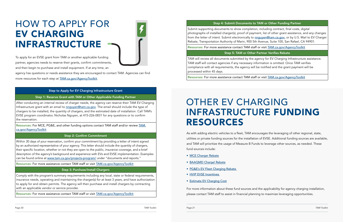# OTHER EV CHARGING INFRASTRUCTURE FUNDING RESOURCES

As with adding electric vehicles to a fleet, TAM encourages the leveraging of other regional, state, utilities or private funding sources for the installation of EVSE. Additional funding sources are available, and TAM will prioritize the usage of Measure B Funds to leverage other sources, as needed. These fund sources include:

agency has questions or needs assistance they are encouraged to contact TAM. Agencies can find more resources for each step at **[TAM.ca.gov/AgencyToolkit](http://TAM.ca.gov/AgencyToolkit).** 

- [MCE Charger Rebate](http://MCE Charger Rebate)
- [BAAQMD Charge! Rebate](http://baaqmd.gov/funding-and-incentives/businesses-and-fleets/charge)
- PG&E's EV Fleet Charging Rebate
- [HVIP EVSE Incentives](http://www.californiahvip.org/infrastructure/#infrastructure-incentives)
- [Estimate EV Charging Cost](http://theicct.org/sites/default/files/publications/ICCT_EV_Charging_Cost_20190813.pdf)

For more information about these fund sources and the applicability for agency charging installation, please contact TAM staff to assist in financial planning to maximize leveraging opportunities.

To apply for an EVSE grant from TAM or another applicable funding partner, agencies needs to reserve their grants, confirm commitments, and then begin to purchase and install equipment. If at any time, an

Within 30 days of your reservation, confirm your commitment by providing a letter of intent signed by an authorized representative of your agency. This letter should include the quantity of chargers, their specific location, whether or not they are open to the public, insurance coverage, and a brief description of the agency's background and experience with EVs and EVSE implementation. Examples can be found online at [www.tam.ca.gov/projects-p](http://www.tam.ca.gov/projects-p)rogram/ under "documents and reports."

# HOW TO APPLY FOR EV CHARGING INFRASTRUCTURE



### Step to Apply for EV Charging Infrastructure Grant

Step 1: Reserve Grant with TAM or Other Applicable Funding Partner

After conducting an internal review of charger needs, the agency can reserve their TAM EV Charging Infrastructure grant with an email to [nnguyen@tam.ca.gov](mailto:nnguyen%40tam.ca.gov%20?subject=). The email should include the type of chargers to be installed, the quantity of chargers, and the estimated date of installation. Call TAM's EVSE program coordinator, Nicholas Nguyen, at 415-226-0831 for any questions or to confirm the reservation.

Resources: For MCE, PG&E, and other funding options contact TAM staff and/or review [TAM.](http://TAM.ca.gov/AgencyToolkit) [ca.gov/AgencyToolkit](http://TAM.ca.gov/AgencyToolkit)

### Step 2: Confirm Commitment

Resources: For more assistance contact TAM staff or visit [TAM.ca.gov/AgencyToolkit](http://TAM.ca.gov/AgencyToolkit)

### Step 3: Purchase/Install Chargers

Comply with the program's summary requirements including any local, state or federal requirements, insurance needs, operating and maintaining the charger(s) for at least 3 years, and have authorization to apply for and obtain permits. The agency will then purchase and install chargers by contracting with an applicable vendor or service provider.

Resources: For more assistance contact TAM staff or visit [TAM.ca.gov/AgencyToolkit](http://TAM.ca.gov/AgencyToolkit)

### Step 4: Submit Documents to TAM or Other Funding Partner

Submit supporting documents to show completion, including contract, final costs, digital photographs of installed charger(s), proof of payment, list of other grant assistance, and any changes from the letter of intent. Submit electronically to **[nnguyen@tam.ca.gov](mailto:nnguyen%40tam.ca.gov?subject=)**, or by U.S. Mail to EV Charger Rebate, Transportation Authority of Marin, 900 5th Avenue, Suite 100, San Rafael, CA 94901.

Resources: For more assistance contact TAM staff or visit [TAM.ca.gov/AgencyToolkit](http://TAM.ca.gov/AgencyToolkit)

Step 5: TAM or Other Partner Verifies Rebate

TAM will review all documents submitted by the agency for EV Charging Infrastructure assistance. TAM staff will contact agencies if any necessary information is omitted. Once TAM verifies compliance with all requirements, the agency will be notified and the grant payment will be processed within 45 days.

Resources: For more assistance contact TAM staff or visit [TAM.ca.gov/AgencyToolkit](http://TAM.ca.gov/AgencyToolkit)